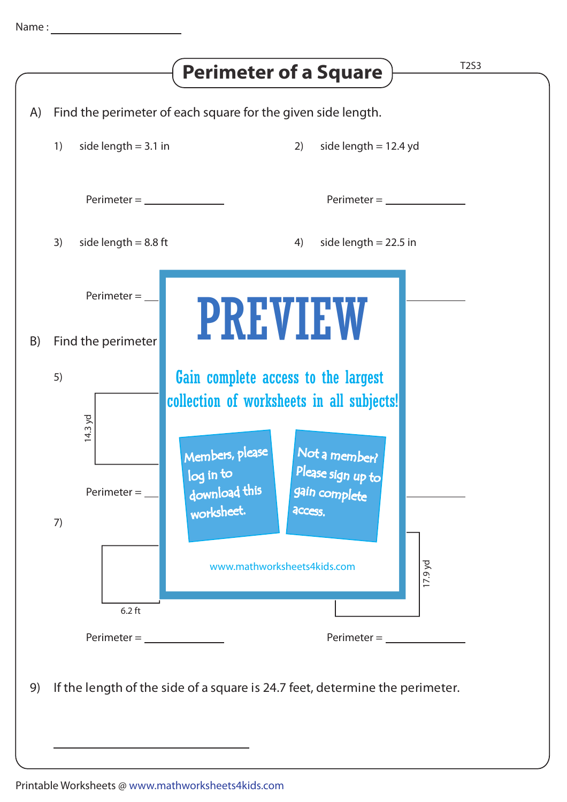